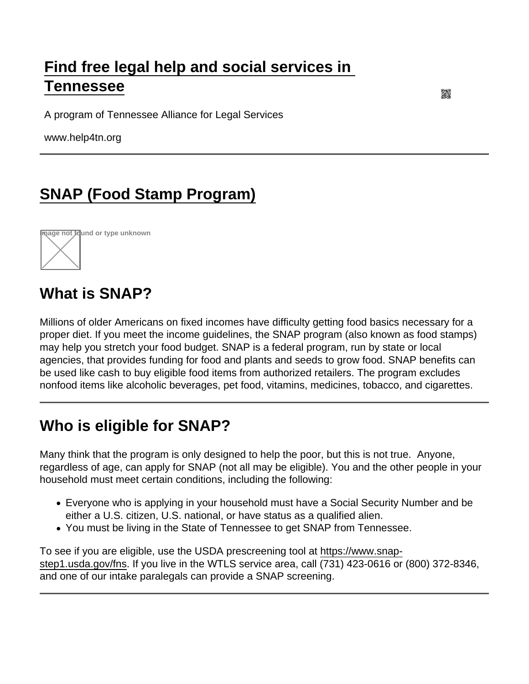## [Find free legal help and social services in](https://www.help4tn.org/)  [Tennessee](https://www.help4tn.org/)

A program of Tennessee Alliance for Legal Services

www.help4tn.org

# [SNAP \(Food Stamp Program\)](https://www.help4tn.org/senior-services/legal-information/income/snap-food-stamp-program)



## What is SNAP?

Millions of older Americans on fixed incomes have difficulty getting food basics necessary for a proper diet. If you meet the income guidelines, the SNAP program (also known as food stamps) may help you stretch your food budget. SNAP is a federal program, run by state or local agencies, that provides funding for food and plants and seeds to grow food. SNAP benefits can be used like cash to buy eligible food items from authorized retailers. The program excludes nonfood items like alcoholic beverages, pet food, vitamins, medicines, tobacco, and cigarettes.

### Who is eligible for SNAP?

Many think that the program is only designed to help the poor, but this is not true. Anyone, regardless of age, can apply for SNAP (not all may be eligible). You and the other people in your household must meet certain conditions, including the following:

- Everyone who is applying in your household must have a Social Security Number and be either a U.S. citizen, U.S. national, or have status as a qualified alien.
- You must be living in the State of Tennessee to get SNAP from Tennessee.

To see if you are eligible, use the USDA prescreening tool at [https://www.snap](https://www.snap-step1.usda.gov/fns)[step1.usda.gov/fns.](https://www.snap-step1.usda.gov/fns) If you live in the WTLS service area, call (731) 423-0616 or (800) 372-8346, and one of our intake paralegals can provide a SNAP screening.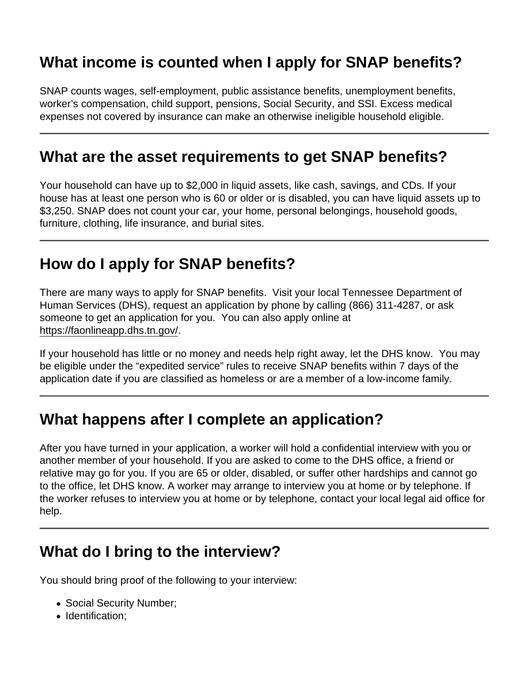# What income is counted when I apply for SNAP benefits?

SNAP counts wages, self-employment, public assistance benefits, unemployment benefits, worker's compensation, child support, pensions, Social Security, and SSI. Excess medical expenses not covered by insurance can make an otherwise ineligible household eligible.

#### What are the asset requirements to get SNAP benefits?

Your household can have up to \$2,000 in liquid assets, like cash, savings, and CDs. If your house has at least one person who is 60 or older or is disabled, you can have liquid assets up to \$3,250. SNAP does not count your car, your home, personal belongings, household goods, furniture, clothing, life insurance, and burial sites.

#### How do I apply for SNAP benefits?

There are many ways to apply for SNAP benefits. Visit your local Tennessee Department of Human Services (DHS), request an application by phone by calling (866) 311-4287, or ask someone to get an application for you. You can also apply online at <https://faonlineapp.dhs.tn.gov/>.

If your household has little or no money and needs help right away, let the DHS know. You may be eligible under the "expedited service" rules to receive SNAP benefits within 7 days of the application date if you are classified as homeless or are a member of a low-income family.

#### What happens after I complete an application?

After you have turned in your application, a worker will hold a confidential interview with you or another member of your household. If you are asked to come to the DHS office, a friend or relative may go for you. If you are 65 or older, disabled, or suffer other hardships and cannot go to the office, let DHS know. A worker may arrange to interview you at home or by telephone. If the worker refuses to interview you at home or by telephone, contact your local legal aid office for help.

### What do I bring to the interview?

You should bring proof of the following to your interview:

- Social Security Number;
- Identification: